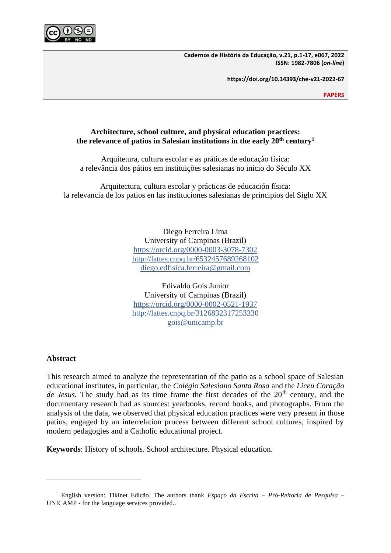

**Cadernos de História da Educação, v.21, p.1-17, e067, 2022 ISSN: 1982-7806 (***on-line***)**

**https://doi.org/10.14393/che-v21-2022-67**

**PAPERS**

# **Architecture, school culture, and physical education practices: the relevance of patios in Salesian institutions in the early 20th century<sup>1</sup>**

Arquitetura, cultura escolar e as práticas de educação física: a relevância dos pátios em instituições salesianas no início do Século XX

Arquitectura, cultura escolar y prácticas de educación física: la relevancia de los patios en las instituciones salesianas de principios del Siglo XX

> Diego Ferreira Lima University of Campinas (Brazil) <https://orcid.org/0000-0003-3078-7302> <http://lattes.cnpq.br/6532457689268102> [diego.edfisica.ferreira@gmail.com](mailto:diego.edfisica.ferreira@gmail.com)

> Edivaldo Gois Junior University of Campinas (Brazil) <https://orcid.org/0000-0002-0521-1937> <http://lattes.cnpq.br/3126832317253330> [gois@unicamp.br](mailto:gois@unicamp.br)

# **Abstract**

This research aimed to analyze the representation of the patio as a school space of Salesian educational institutes, in particular, the *Colégio Salesiano Santa Rosa* and the *Liceu Coração*  de Jesus. The study had as its time frame the first decades of the 20<sup>th</sup> century, and the documentary research had as sources: yearbooks, record books, and photographs. From the analysis of the data, we observed that physical education practices were very present in those patios, engaged by an interrelation process between different school cultures, inspired by modern pedagogies and a Catholic educational project.

**Keywords**: History of schools. School architecture. Physical education.

<sup>1</sup> English version: Tikinet Edicão. The authors thank *Espaço da Escrita – Pró-Reitoria de Pesquisa* – UNICAMP - for the language services provided..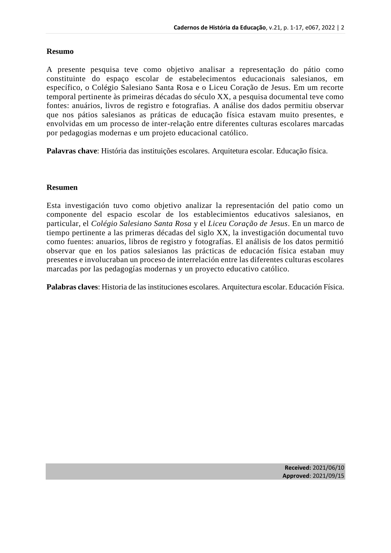# **Resumo**

A presente pesquisa teve como objetivo analisar a representação do pátio como constituinte do espaço escolar de estabelecimentos educacionais salesianos, em específico, o Colégio Salesiano Santa Rosa e o Liceu Coração de Jesus. Em um recorte temporal pertinente às primeiras décadas do século XX, a pesquisa documental teve como fontes: anuários, livros de registro e fotografias. A análise dos dados permitiu observar que nos pátios salesianos as práticas de educação física estavam muito presentes, e envolvidas em um processo de inter-relação entre diferentes culturas escolares marcadas por pedagogias modernas e um projeto educacional católico.

**Palavras chave**: História das instituições escolares. Arquitetura escolar. Educação física.

# **Resumen**

Esta investigación tuvo como objetivo analizar la representación del patio como un componente del espacio escolar de los establecimientos educativos salesianos, en particular, el *Colégio Salesiano Santa Rosa* y el *Liceu Coração de Jesus*. En un marco de tiempo pertinente a las primeras décadas del siglo XX, la investigación documental tuvo como fuentes: anuarios, libros de registro y fotografías. El análisis de los datos permitió observar que en los patios salesianos las prácticas de educación física estaban muy presentes e involucraban un proceso de interrelación entre las diferentes culturas escolares marcadas por las pedagogías modernas y un proyecto educativo católico.

**Palabras claves**: Historia de las instituciones escolares. Arquitectura escolar. Educación Física.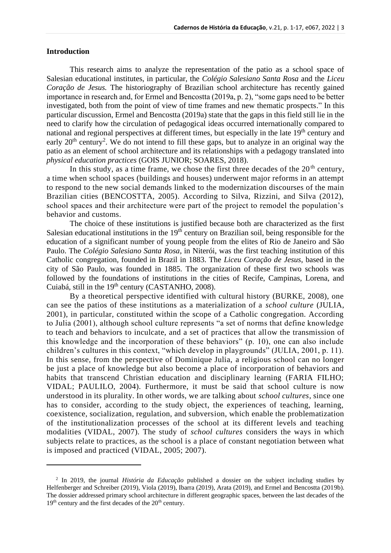### **Introduction**

This research aims to analyze the representation of the patio as a school space of Salesian educational institutes, in particular, the *Colégio Salesiano Santa Rosa* and the *Liceu Coração de Jesus.* The historiography of Brazilian school architecture has recently gained importance in research and, for Ermel and Bencostta (2019a, p. 2), "some gaps need to be better investigated, both from the point of view of time frames and new thematic prospects." In this particular discussion, Ermel and Bencostta (2019a) state that the gaps in this field still lie in the need to clarify how the circulation of pedagogical ideas occurred internationally compared to national and regional perspectives at different times, but especially in the late 19<sup>th</sup> century and early  $20<sup>th</sup>$  century<sup>2</sup>. We do not intend to fill these gaps, but to analyze in an original way the patio as an element of school architecture and its relationships with a pedagogy translated into *physical education practices* (GOIS JUNIOR; SOARES, 2018).

In this study, as a time frame, we chose the first three decades of the  $20<sup>th</sup>$  century, a time when school spaces (buildings and houses) underwent major reforms in an attempt to respond to the new social demands linked to the modernization discourses of the main Brazilian cities (BENCOSTTA, 2005). According to Silva, Rizzini, and Silva (2012), school spaces and their architecture were part of the project to remodel the population's behavior and customs.

The choice of these institutions is justified because both are characterized as the first Salesian educational institutions in the  $19<sup>th</sup>$  century on Brazilian soil, being responsible for the education of a significant number of young people from the elites of Rio de Janeiro and São Paulo. The *Colégio Salesiano Santa Rosa*, in Niterói, was the first teaching institution of this Catholic congregation, founded in Brazil in 1883. The *Liceu Coração de Jesus*, based in the city of São Paulo, was founded in 1885. The organization of these first two schools was followed by the foundations of institutions in the cities of Recife, Campinas, Lorena, and Cuiabá, still in the 19<sup>th</sup> century (CASTANHO, 2008).

By a theoretical perspective identified with cultural history (BURKE, 2008), one can see the patios of these institutions as a materialization of a *school culture* (JULIA, 2001), in particular, constituted within the scope of a Catholic congregation. According to Julia (2001), although school culture represents "a set of norms that define knowledge to teach and behaviors to inculcate, and a set of practices that allow the transmission of this knowledge and the incorporation of these behaviors" (p. 10), one can also include children's cultures in this context, "which develop in playgrounds" (JULIA, 2001, p. 11). In this sense, from the perspective of Dominique Julia, a religious school can no longer be just a place of knowledge but also become a place of incorporation of behaviors and habits that transcend Christian education and disciplinary learning (FARIA FILHO; VIDAL; PAULILO, 2004). Furthermore, it must be said that school culture is now understood in its plurality. In other words, we are talking about *school cultures*, since one has to consider, according to the study object, the experiences of teaching, learning, coexistence, socialization, regulation, and subversion, which enable the problematization of the institutionalization processes of the school at its different levels and teaching modalities (VIDAL, 2007). The study of *school cultures* considers the ways in which subjects relate to practices, as the school is a place of constant negotiation between what is imposed and practiced (VIDAL, 2005; 2007).

<sup>2</sup> In 2019, the journal *História da Educação* published a dossier on the subject including studies by Helfenberger and Schreiber (2019), Viola (2019), Ibarra (2019), Arata (2019), and Ermel and Bencostta (2019b). The dossier addressed primary school architecture in different geographic spaces, between the last decades of the 19<sup>th</sup> century and the first decades of the 20<sup>th</sup> century.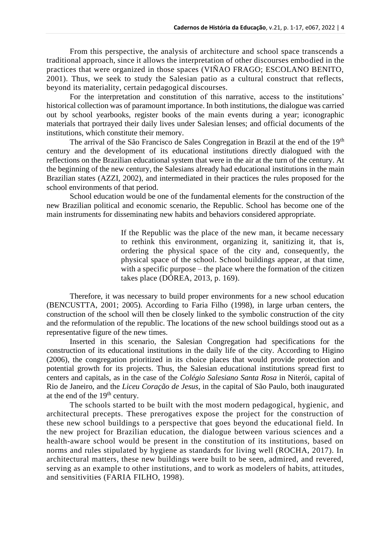From this perspective, the analysis of architecture and school space transcends a traditional approach, since it allows the interpretation of other discourses embodied in the practices that were organized in those spaces (VIÑAO FRAGO; ESCOLANO BENITO, 2001). Thus, we seek to study the Salesian patio as a cultural construct that reflects, beyond its materiality, certain pedagogical discourses.

For the interpretation and constitution of this narrative, access to the institutions' historical collection was of paramount importance. In both institutions, the dialogue was carried out by school yearbooks, register books of the main events during a year; iconographic materials that portrayed their daily lives under Salesian lenses; and official documents of the institutions, which constitute their memory.

The arrival of the São Francisco de Sales Congregation in Brazil at the end of the 19<sup>th</sup> century and the development of its educational institutions directly dialogued with the reflections on the Brazilian educational system that were in the air at the turn of the century. At the beginning of the new century, the Salesians already had educational institutions in the main Brazilian states (AZZI, 2002), and intermediated in their practices the rules proposed for the school environments of that period.

School education would be one of the fundamental elements for the construction of the new Brazilian political and economic scenario, the Republic. School has become one of the main instruments for disseminating new habits and behaviors considered appropriate.

> If the Republic was the place of the new man, it became necessary to rethink this environment, organizing it, sanitizing it, that is, ordering the physical space of the city and, consequently, the physical space of the school. School buildings appear, at that time, with a specific purpose – the place where the formation of the citizen takes place (DÓREA, 2013, p. 169).

Therefore, it was necessary to build proper environments for a new school education (BENCUSTTA, 2001; 2005). According to Faria Filho (1998), in large urban centers, the construction of the school will then be closely linked to the symbolic construction of the city and the reformulation of the republic. The locations of the new school buildings stood out as a representative figure of the new times.

Inserted in this scenario, the Salesian Congregation had specifications for the construction of its educational institutions in the daily life of the city. According to Higino (2006), the congregation prioritized in its choice places that would provide protection and potential growth for its projects. Thus, the Salesian educational institutions spread first to centers and capitals, as in the case of the *Colégio Salesiano Santa Rosa* in Niterói, capital of Rio de Janeiro, and the *Liceu Coração de Jesus*, in the capital of São Paulo, both inaugurated at the end of the  $19<sup>th</sup>$  century.

The schools started to be built with the most modern pedagogical, hygienic, and architectural precepts. These prerogatives expose the project for the construction of these new school buildings to a perspective that goes beyond the educational field. In the new project for Brazilian education, the dialogue between various sciences and a health-aware school would be present in the constitution of its institutions, based on norms and rules stipulated by hygiene as standards for living well (ROCHA, 2017). In architectural matters, these new buildings were built to be seen, admired, and revered, serving as an example to other institutions, and to work as modelers of habits, attitudes, and sensitivities (FARIA FILHO, 1998).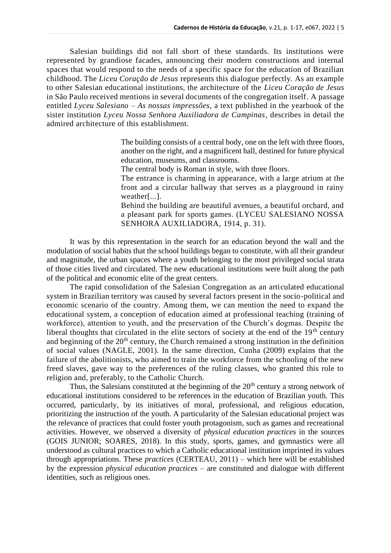Salesian buildings did not fall short of these standards. Its institutions were represented by grandiose facades, announcing their modern constructions and internal spaces that would respond to the needs of a specific space for the education of Brazilian childhood. The *Liceu Coração de Jesus* represents this dialogue perfectly. As an example to other Salesian educational institutions, the architecture of the *Liceu Coração de Jesus* in São Paulo received mentions in several documents of the congregation itself. A passage entitled *Lyceu Salesiano – As nossas impressões*, a text published in the yearbook of the sister institution *Lyceu Nossa Senhora Auxiliadora de Campinas*, describes in detail the admired architecture of this establishment.

> The building consists of a central body, one on the left with three floors, another on the right, and a magnificent hall, destined for future physical education, museums, and classrooms.

The central body is Roman in style, with three floors.

The entrance is charming in appearance, with a large atrium at the front and a circular hallway that serves as a playground in rainy weather[...].

Behind the building are beautiful avenues, a beautiful orchard, and a pleasant park for sports games. (LYCEU SALESIANO NOSSA SENHORA AUXILIADORA, 1914, p. 31).

It was by this representation in the search for an education beyond the wall and the modulation of social habits that the school buildings began to constitute, with all their grandeur and magnitude, the urban spaces where a youth belonging to the most privileged social strata of those cities lived and circulated. The new educational institutions were built along the path of the political and economic elite of the great centers.

The rapid consolidation of the Salesian Congregation as an articulated educational system in Brazilian territory was caused by several factors present in the socio-political and economic scenario of the country. Among them, we can mention the need to expand the educational system, a conception of education aimed at professional teaching (training of workforce), attention to youth, and the preservation of the Church's dogmas. Despite the liberal thoughts that circulated in the elite sectors of society at the end of the  $19<sup>th</sup>$  century and beginning of the  $20<sup>th</sup>$  century, the Church remained a strong institution in the definition of social values (NAGLE, 2001). In the same direction, Cunha (2009) explains that the failure of the abolitionists, who aimed to train the workforce from the schooling of the new freed slaves, gave way to the preferences of the ruling classes, who granted this role to religion and, preferably, to the Catholic Church.

Thus, the Salesians constituted at the beginning of the  $20<sup>th</sup>$  century a strong network of educational institutions considered to be references in the education of Brazilian youth. This occurred, particularly, by its initiatives of moral, professional, and religious education, prioritizing the instruction of the youth. A particularity of the Salesian educational project was the relevance of practices that could foster youth protagonism, such as games and recreational activities. However, we observed a diversity of *physical education practices* in the sources (GOIS JUNIOR; SOARES, 2018). In this study, sports, games, and gymnastics were all understood as cultural practices to which a Catholic educational institution imprinted its values through appropriations. These *practices* (CERTEAU, 2011) – which here will be established by the expression *physical education practices* – are constituted and dialogue with different identities, such as religious ones.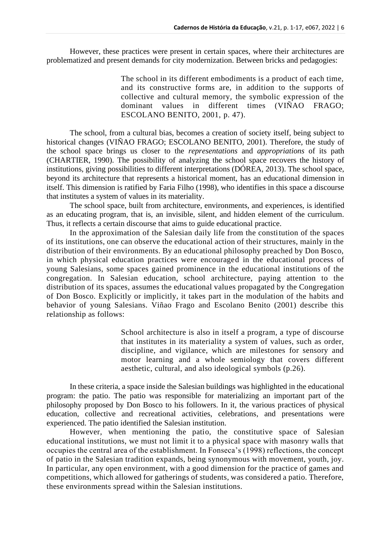However, these practices were present in certain spaces, where their architectures are problematized and present demands for city modernization. Between bricks and pedagogies:

> The school in its different embodiments is a product of each time, and its constructive forms are, in addition to the supports of collective and cultural memory, the symbolic expression of the dominant values in different times (VIÑAO FRAGO; ESCOLANO BENITO, 2001, p. 47).

The school, from a cultural bias, becomes a creation of society itself, being subject to historical changes (VIÑAO FRAGO; ESCOLANO BENITO, 2001). Therefore, the study of the school space brings us closer to the *representations* and *appropriations* of its path (CHARTIER, 1990). The possibility of analyzing the school space recovers the history of institutions, giving possibilities to different interpretations (DÓREA, 2013). The school space, beyond its architecture that represents a historical moment, has an educational dimension in itself. This dimension is ratified by Faria Filho (1998), who identifies in this space a discourse that institutes a system of values in its materiality.

The school space, built from architecture, environments, and experiences, is identified as an educating program, that is, an invisible, silent, and hidden element of the curriculum. Thus, it reflects a certain discourse that aims to guide educational practice.

In the approximation of the Salesian daily life from the constitution of the spaces of its institutions, one can observe the educational action of their structures, mainly in the distribution of their environments. By an educational philosophy preached by Don Bosco, in which physical education practices were encouraged in the educational process of young Salesians, some spaces gained prominence in the educational institutions of the congregation. In Salesian education, school architecture, paying attention to the distribution of its spaces, assumes the educational values propagated by the Congregation of Don Bosco. Explicitly or implicitly, it takes part in the modulation of the habits and behavior of young Salesians. Viñao Frago and Escolano Benito (2001) describe this relationship as follows:

> School architecture is also in itself a program, a type of discourse that institutes in its materiality a system of values, such as order, discipline, and vigilance, which are milestones for sensory and motor learning and a whole semiology that covers different aesthetic, cultural, and also ideological symbols (p.26).

In these criteria, a space inside the Salesian buildings was highlighted in the educational program: the patio. The patio was responsible for materializing an important part of the philosophy proposed by Don Bosco to his followers. In it, the various practices of physical education, collective and recreational activities, celebrations, and presentations were experienced. The patio identified the Salesian institution.

However, when mentioning the patio, the constitutive space of Salesian educational institutions, we must not limit it to a physical space with masonry walls that occupies the central area of the establishment. In Fonseca's (1998) reflections, the concept of patio in the Salesian tradition expands, being synonymous with movement, youth, joy. In particular, any open environment, with a good dimension for the practice of games and competitions, which allowed for gatherings of students, was considered a patio. Therefore, these environments spread within the Salesian institutions.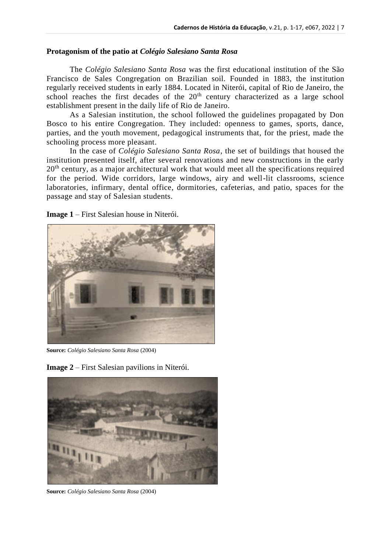#### **Protagonism of the patio at** *Colégio Salesiano Santa Rosa*

The *Colégio Salesiano Santa Rosa* was the first educational institution of the São Francisco de Sales Congregation on Brazilian soil. Founded in 1883, the institution regularly received students in early 1884. Located in Niterói, capital of Rio de Janeiro, the school reaches the first decades of the 20<sup>th</sup> century characterized as a large school establishment present in the daily life of Rio de Janeiro.

As a Salesian institution, the school followed the guidelines propagated by Don Bosco to his entire Congregation. They included: openness to games, sports, dance, parties, and the youth movement, pedagogical instruments that, for the priest, made the schooling process more pleasant.

In the case of *Colégio Salesiano Santa Rosa*, the set of buildings that housed the institution presented itself, after several renovations and new constructions in the early 20<sup>th</sup> century, as a major architectural work that would meet all the specifications required for the period. Wide corridors, large windows, airy and well-lit classrooms, science laboratories, infirmary, dental office, dormitories, cafeterias, and patio, spaces for the passage and stay of Salesian students.

**Image 1** – First Salesian house in Niterói.



**Source:** *Colégio Salesiano Santa Rosa* (2004)



**Image 2** – First Salesian pavilions in Niterói.

**Source:** *Colégio Salesiano Santa Rosa* (2004)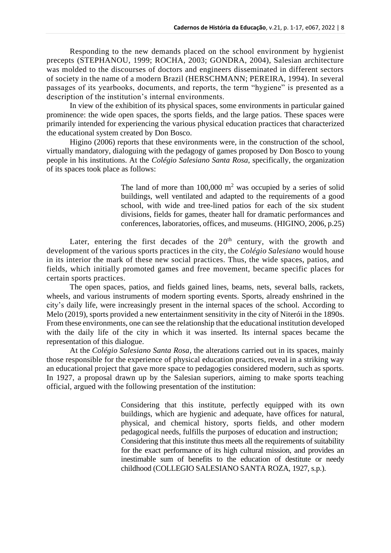Responding to the new demands placed on the school environment by hygienist precepts (STEPHANOU, 1999; ROCHA, 2003; GONDRA, 2004), Salesian architecture was molded to the discourses of doctors and engineers disseminated in different sectors of society in the name of a modern Brazil (HERSCHMANN; PEREIRA, 1994). In several passages of its yearbooks, documents, and reports, the term "hygiene" is presented as a description of the institution's internal environments.

In view of the exhibition of its physical spaces, some environments in particular gained prominence: the wide open spaces, the sports fields, and the large patios. These spaces were primarily intended for experiencing the various physical education practices that characterized the educational system created by Don Bosco.

Higino (2006) reports that these environments were, in the construction of the school, virtually mandatory, dialoguing with the pedagogy of games proposed by Don Bosco to young people in his institutions. At the *Colégio Salesiano Santa Rosa*, specifically, the organization of its spaces took place as follows:

> The land of more than  $100,000 \text{ m}^2$  was occupied by a series of solid buildings, well ventilated and adapted to the requirements of a good school, with wide and tree-lined patios for each of the six student divisions, fields for games, theater hall for dramatic performances and conferences, laboratories, offices, and museums. (HIGINO, 2006, p.25)

Later, entering the first decades of the  $20<sup>th</sup>$  century, with the growth and development of the various sports practices in the city, the *Colégio Salesiano* would house in its interior the mark of these new social practices. Thus, the wide spaces, patios, and fields, which initially promoted games and free movement, became specific places for certain sports practices.

The open spaces, patios, and fields gained lines, beams, nets, several balls, rackets, wheels, and various instruments of modern sporting events. Sports, already enshrined in the city's daily life, were increasingly present in the internal spaces of the school. According to Melo (2019), sports provided a new entertainment sensitivity in the city of Niterói in the 1890s. From these environments, one can see the relationship that the educational institution developed with the daily life of the city in which it was inserted. Its internal spaces became the representation of this dialogue.

At the *Colégio Salesiano Santa Rosa*, the alterations carried out in its spaces, mainly those responsible for the experience of physical education practices, reveal in a striking way an educational project that gave more space to pedagogies considered modern, such as sports. In 1927, a proposal drawn up by the Salesian superiors, aiming to make sports teaching official, argued with the following presentation of the institution:

> Considering that this institute, perfectly equipped with its own buildings, which are hygienic and adequate, have offices for natural, physical, and chemical history, sports fields, and other modern pedagogical needs, fulfills the purposes of education and instruction; Considering that this institute thus meets all the requirements of suitability for the exact performance of its high cultural mission, and provides an inestimable sum of benefits to the education of destitute or needy childhood (COLLEGIO SALESIANO SANTA ROZA, 1927, s.p.).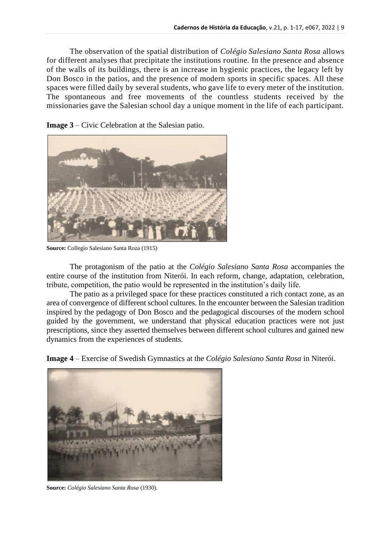The observation of the spatial distribution of *Colégio Salesiano Santa Rosa* allows for different analyses that precipitate the institutions routine. In the presence and absence of the walls of its buildings, there is an increase in hygienic practices, the legacy left by Don Bosco in the patios, and the presence of modern sports in specific spaces. All these spaces were filled daily by several students, who gave life to every meter of the institution. The spontaneous and free movements of the countless students received by the missionaries gave the Salesian school day a unique moment in the life of each participant.

**Image 3** – Civic Celebration at the Salesian patio.



**Source:** Collegio Salesiano Santa Roza (1915)

The protagonism of the patio at the *Colégio Salesiano Santa Rosa* accompanies the entire course of the institution from Niterói. In each reform, change, adaptation, celebration, tribute, competition, the patio would be represented in the institution's daily life.

The patio as a privileged space for these practices constituted a rich contact zone, as an area of convergence of different school cultures. In the encounter between the Salesian tradition inspired by the pedagogy of Don Bosco and the pedagogical discourses of the modern school guided by the government, we understand that physical education practices were not just prescriptions, since they asserted themselves between different school cultures and gained new dynamics from the experiences of students.

**Image 4** – Exercise of Swedish Gymnastics at the *Colégio Salesiano Santa Rosa* in Niterói.



**Source:** *Colégio Salesiano Santa Rosa* (1930).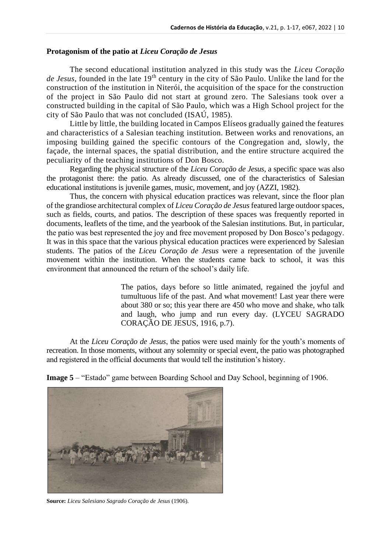### **Protagonism of the patio at** *Liceu Coração de Jesus*

The second educational institution analyzed in this study was the *Liceu Coração de Jesus*, founded in the late 19th century in the city of São Paulo. Unlike the land for the construction of the institution in Niterói, the acquisition of the space for the construction of the project in São Paulo did not start at ground zero. The Salesians took over a constructed building in the capital of São Paulo, which was a High School project for the city of São Paulo that was not concluded (ISAÚ, 1985).

Little by little, the building located in Campos Elíseos gradually gained the features and characteristics of a Salesian teaching institution. Between works and renovations, an imposing building gained the specific contours of the Congregation and, slowly, the façade, the internal spaces, the spatial distribution, and the entire structure acquired the peculiarity of the teaching institutions of Don Bosco.

Regarding the physical structure of the *Liceu Coração de Jesus*, a specific space was also the protagonist there: the patio. As already discussed, one of the characteristics of Salesian educational institutions is juvenile games, music, movement, and joy (AZZI, 1982).

Thus, the concern with physical education practices was relevant, since the floor plan of the grandiose architectural complex of *Liceu Coração de Jesus* featured large outdoor spaces, such as fields, courts, and patios. The description of these spaces was frequently reported in documents, leaflets of the time, and the yearbook of the Salesian institutions. But, in particular, the patio was best represented the joy and free movement proposed by Don Bosco's pedagogy. It was in this space that the various physical education practices were experienced by Salesian students. The patios of the *Liceu Coração de Jesus* were a representation of the juvenile movement within the institution. When the students came back to school, it was this environment that announced the return of the school's daily life.

> The patios, days before so little animated, regained the joyful and tumultuous life of the past. And what movement! Last year there were about 380 or so; this year there are 450 who move and shake, who talk and laugh, who jump and run every day. (LYCEU SAGRADO CORAÇÃO DE JESUS, 1916, p.7).

At the *Liceu Coração de Jesus*, the patios were used mainly for the youth's moments of recreation. In those moments, without any solemnity or special event, the patio was photographed and registered in the official documents that would tell the institution's history.

**Image 5** – "Estado" game between Boarding School and Day School, beginning of 1906.



**Source:** *Liceu Salesiano Sagrado Coração de Jesus* (1906).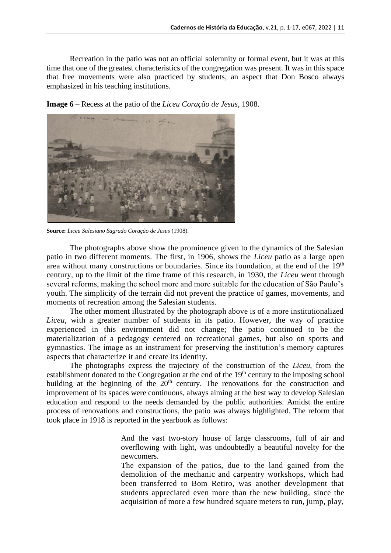Recreation in the patio was not an official solemnity or formal event, but it was at this time that one of the greatest characteristics of the congregation was present. It was in this space that free movements were also practiced by students, an aspect that Don Bosco always emphasized in his teaching institutions.

**Image 6** – Recess at the patio of the *Liceu Coração de Jesus*, 1908.



**Source:** *Liceu Salesiano Sagrado Coração de Jesus* (1908).

The photographs above show the prominence given to the dynamics of the Salesian patio in two different moments. The first, in 1906, shows the *Liceu* patio as a large open area without many constructions or boundaries. Since its foundation, at the end of the 19<sup>th</sup> century, up to the limit of the time frame of this research, in 1930, the *Liceu* went through several reforms, making the school more and more suitable for the education of São Paulo's youth. The simplicity of the terrain did not prevent the practice of games, movements, and moments of recreation among the Salesian students.

The other moment illustrated by the photograph above is of a more institutionalized *Liceu*, with a greater number of students in its patio. However, the way of practice experienced in this environment did not change; the patio continued to be the materialization of a pedagogy centered on recreational games, but also on sports and gymnastics. The image as an instrument for preserving the institution's memory captures aspects that characterize it and create its identity.

The photographs express the trajectory of the construction of the *Liceu*, from the establishment donated to the Congregation at the end of the  $19<sup>th</sup>$  century to the imposing school building at the beginning of the  $20<sup>th</sup>$  century. The renovations for the construction and improvement of its spaces were continuous, always aiming at the best way to develop Salesian education and respond to the needs demanded by the public authorities. Amidst the entire process of renovations and constructions, the patio was always highlighted. The reform that took place in 1918 is reported in the yearbook as follows:

> And the vast two-story house of large classrooms, full of air and overflowing with light, was undoubtedly a beautiful novelty for the newcomers.

> The expansion of the patios, due to the land gained from the demolition of the mechanic and carpentry workshops, which had been transferred to Bom Retiro, was another development that students appreciated even more than the new building, since the acquisition of more a few hundred square meters to run, jump, play,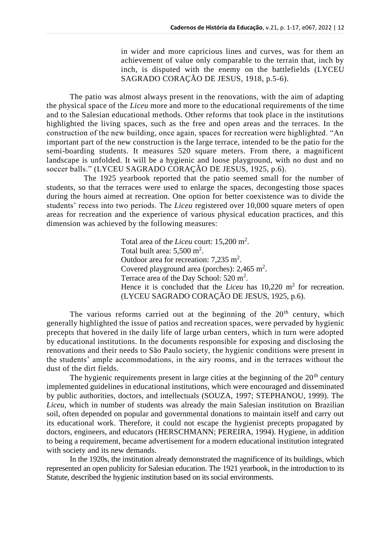in wider and more capricious lines and curves, was for them an achievement of value only comparable to the terrain that, inch by inch, is disputed with the enemy on the battlefields (LYCEU SAGRADO CORAÇÃO DE JESUS, 1918, p.5-6).

The patio was almost always present in the renovations, with the aim of adapting the physical space of the *Liceu* more and more to the educational requirements of the time and to the Salesian educational methods. Other reforms that took place in the institutions highlighted the living spaces, such as the free and open areas and the terraces. In the construction of the new building, once again, spaces for recreation were highlighted. "An important part of the new construction is the large terrace, intended to be the patio for the semi-boarding students. It measures 520 square meters. From there, a magnificent landscape is unfolded. It will be a hygienic and loose playground, with no dust and no soccer balls." (LYCEU SAGRADO CORAÇÃO DE JESUS, 1925, p.6).

The 1925 yearbook reported that the patio seemed small for the number of students, so that the terraces were used to enlarge the spaces, decongesting those spaces during the hours aimed at recreation. One option for better coexistence was to divide the students' recess into two periods. The *Liceu* registered over 10,000 square meters of open areas for recreation and the experience of various physical education practices, and this dimension was achieved by the following measures:

> Total area of the *Liceu* court: 15,200 m<sup>2</sup>. Total built area:  $5,500 \text{ m}^2$ . Outdoor area for recreation:  $7,235$  m<sup>2</sup>. Covered playground area (porches):  $2,465$  m<sup>2</sup>. Terrace area of the Day School:  $520 \text{ m}^2$ . Hence it is concluded that the *Liceu* has  $10,220 \text{ m}^2$  for recreation. (LYCEU SAGRADO CORAÇÃO DE JESUS, 1925, p.6).

The various reforms carried out at the beginning of the  $20<sup>th</sup>$  century, which generally highlighted the issue of patios and recreation spaces, were pervaded by hygienic precepts that hovered in the daily life of large urban centers, which in turn were adopted by educational institutions. In the documents responsible for exposing and disclosing the renovations and their needs to São Paulo society, the hygienic conditions were present in the students' ample accommodations, in the airy rooms, and in the terraces without the dust of the dirt fields.

The hygienic requirements present in large cities at the beginning of the  $20<sup>th</sup>$  century implemented guidelines in educational institutions, which were encouraged and disseminated by public authorities, doctors, and intellectuals (SOUZA, 1997; STEPHANOU, 1999). The *Liceu*, which in number of students was already the main Salesian institution on Brazilian soil, often depended on popular and governmental donations to maintain itself and carry out its educational work. Therefore, it could not escape the hygienist precepts propagated by doctors, engineers, and educators (HERSCHMANN; PEREIRA, 1994). Hygiene, in addition to being a requirement, became advertisement for a modern educational institution integrated with society and its new demands.

In the 1920s, the institution already demonstrated the magnificence of its buildings, which represented an open publicity for Salesian education. The 1921 yearbook, in the introduction to its Statute, described the hygienic institution based on its social environments.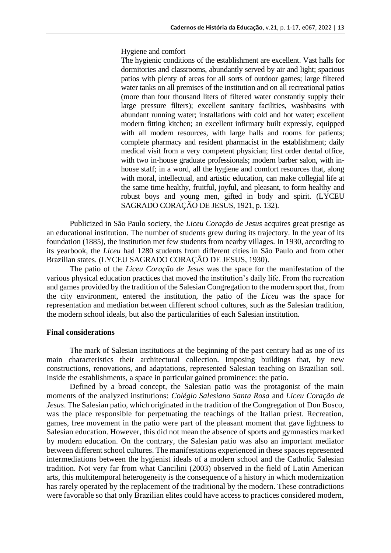#### Hygiene and comfort

The hygienic conditions of the establishment are excellent. Vast halls for dormitories and classrooms, abundantly served by air and light; spacious patios with plenty of areas for all sorts of outdoor games; large filtered water tanks on all premises of the institution and on all recreational patios (more than four thousand liters of filtered water constantly supply their large pressure filters); excellent sanitary facilities, washbasins with abundant running water; installations with cold and hot water; excellent modern fitting kitchen; an excellent infirmary built expressly, equipped with all modern resources, with large halls and rooms for patients; complete pharmacy and resident pharmacist in the establishment; daily medical visit from a very competent physician; first order dental office, with two in-house graduate professionals; modern barber salon, with inhouse staff; in a word, all the hygiene and comfort resources that, along with moral, intellectual, and artistic education, can make collegial life at the same time healthy, fruitful, joyful, and pleasant, to form healthy and robust boys and young men, gifted in body and spirit. (LYCEU SAGRADO CORAÇÃO DE JESUS, 1921, p. 132).

Publicized in São Paulo society, the *Liceu Coração de Jesus* acquires great prestige as an educational institution. The number of students grew during its trajectory. In the year of its foundation (1885), the institution met few students from nearby villages. In 1930, according to its yearbook, the *Liceu* had 1280 students from different cities in São Paulo and from other Brazilian states. (LYCEU SAGRADO CORAÇÃO DE JESUS, 1930).

The patio of the *Liceu Coração de Jesus* was the space for the manifestation of the various physical education practices that moved the institution's daily life. From the recreation and games provided by the tradition of the Salesian Congregation to the modern sport that, from the city environment, entered the institution, the patio of the *Liceu* was the space for representation and mediation between different school cultures, such as the Salesian tradition, the modern school ideals, but also the particularities of each Salesian institution.

### **Final considerations**

The mark of Salesian institutions at the beginning of the past century had as one of its main characteristics their architectural collection. Imposing buildings that, by new constructions, renovations, and adaptations, represented Salesian teaching on Brazilian soil. Inside the establishments, a space in particular gained prominence: the patio.

Defined by a broad concept, the Salesian patio was the protagonist of the main moments of the analyzed institutions: *Colégio Salesiano Santa Rosa* and *Liceu Coração de Jesus*. The Salesian patio, which originated in the tradition of the Congregation of Don Bosco, was the place responsible for perpetuating the teachings of the Italian priest. Recreation, games, free movement in the patio were part of the pleasant moment that gave lightness to Salesian education. However, this did not mean the absence of sports and gymnastics marked by modern education. On the contrary, the Salesian patio was also an important mediator between different school cultures. The manifestations experienced in these spaces represented intermediations between the hygienist ideals of a modern school and the Catholic Salesian tradition. Not very far from what Cancilini (2003) observed in the field of Latin American arts, this multitemporal heterogeneity is the consequence of a history in which modernization has rarely operated by the replacement of the traditional by the modern. These contradictions were favorable so that only Brazilian elites could have access to practices considered modern,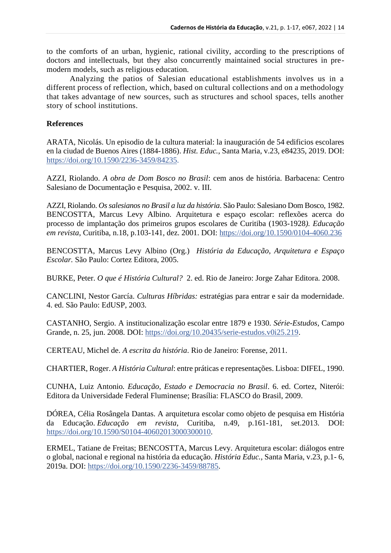to the comforts of an urban, hygienic, rational civility, according to the prescriptions of doctors and intellectuals, but they also concurrently maintained social structures in premodern models, such as religious education.

Analyzing the patios of Salesian educational establishments involves us in a different process of reflection, which, based on cultural collections and on a methodology that takes advantage of new sources, such as structures and school spaces, tells another story of school institutions.

# **References**

ARATA, Nicolás. Un episodio de la cultura material: la inauguración de 54 edificios escolares en la ciudad de Buenos Aires (1884-1886). *Hist. Educ.*, Santa Maria, v.23, e84235, 2019. DOI: [https://doi.org/10.1590/2236-3459/84235.](https://doi.org/10.1590/2236-3459/84235)

AZZI, Riolando. *A obra de Dom Bosco no Brasil*: cem anos de história. Barbacena: Centro Salesiano de Documentação e Pesquisa, 2002. v. III.

AZZI, Riolando. *Os salesianos no Brasil a luz da história*. São Paulo: Salesiano Dom Bosco, 1982. BENCOSTTA, Marcus Levy Albino. Arquitetura e espaço escolar: reflexões acerca do processo de implantação dos primeiros grupos escolares de Curitiba (1903-1928*). Educação em revista*, Curitiba, n.18, p.103-141, dez. 2001. DOI:<https://doi.org/10.1590/0104-4060.236>

BENCOSTTA, Marcus Levy Albino (Org.) *História da Educação, Arquitetura e Espaço Escolar.* São Paulo: Cortez Editora, 2005.

BURKE, Peter. *O que é História Cultural?* 2. ed. Rio de Janeiro: Jorge Zahar Editora. 2008.

CANCLINI, Nestor García. *Culturas Híbridas:* estratégias para entrar e sair da modernidade. 4. ed. São Paulo: EdUSP, 2003.

CASTANHO, Sergio. A institucionalização escolar entre 1879 e 1930. *Série-Estudos,* Campo Grande, n. 25, jun. 2008. DOI: [https://doi.org/10.20435/serie-estudos.v0i25.219.](https://doi.org/10.20435/serie-estudos.v0i25.219)

CERTEAU, Michel de. *A escrita da história*. Rio de Janeiro: Forense, 2011.

CHARTIER, Roger. *A História Cultural*: entre práticas e representações. Lisboa: DIFEL, 1990.

CUNHA, Luiz Antonio*. Educação, Estado e Democracia no Brasil*. 6. ed. Cortez, Niterói: Editora da Universidade Federal Fluminense; Brasília: FLASCO do Brasil, 2009.

DÓREA, Célia Rosângela Dantas. A arquitetura escolar como objeto de pesquisa em História da Educação. *Educação em revista*, Curitiba, n.49, p.161-181, set.2013. DOI: [https://doi.org/10.1590/S0104-40602013000300010.](https://doi.org/10.1590/S0104-40602013000300010)

ERMEL, Tatiane de Freitas; BENCOSTTA, Marcus Levy. Arquitetura escolar: diálogos entre o global, nacional e regional na história da educação. *História Educ.*, Santa Maria, v.23, p.1- 6, 2019a. DOI: [https://doi.org/10.1590/2236-3459/88785.](https://doi.org/10.1590/2236-3459/88785)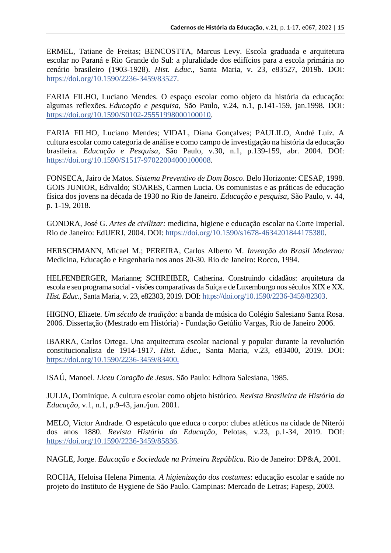ERMEL, Tatiane de Freitas; BENCOSTTA, Marcus Levy. Escola graduada e arquitetura escolar no Paraná e Rio Grande do Sul: a pluralidade dos edifícios para a escola primária no cenário brasileiro (1903-1928). *Hist. Educ.*, Santa Maria, v. 23, e83527, 2019b. DOI: [https://doi.org/10.1590/2236-3459/83527.](https://doi.org/10.1590/2236-3459/83527)

FARIA FILHO, Luciano Mendes. O espaço escolar como objeto da história da educação: algumas reflexões. *Educação e pesquisa*, São Paulo, v.24, n.1, p.141-159, jan.1998. DOI: [https://doi.org/10.1590/S0102-25551998000100010.](https://doi.org/10.1590/S0102-25551998000100010)

FARIA FILHO, Luciano Mendes; VIDAL, Diana Gonçalves; PAULILO, André Luiz. A cultura escolar como categoria de análise e como campo de investigação na história da educação brasileira. *Educação e Pesquisa*, São Paulo, v.30, n.1, p.139-159, abr. 2004. DOI: [https://doi.org/10.1590/S1517-97022004000100008.](https://doi.org/10.1590/S1517-97022004000100008)

FONSECA, Jairo de Matos. *Sistema Preventivo de Dom Bosco*. Belo Horizonte: CESAP, 1998. GOIS JUNIOR, Edivaldo; SOARES, Carmen Lucia. Os comunistas e as práticas de educação física dos jovens na década de 1930 no Rio de Janeiro. *Educação e pesquisa*, São Paulo, v. 44, p. 1-19, 2018.

GONDRA, José G. *Artes de civilizar:* medicina, higiene e educação escolar na Corte Imperial. Rio de Janeiro: EdUERJ, 2004. DOI: [https://doi.org/10.1590/s1678-4634201844175380.](https://doi.org/10.1590/s1678-4634201844175380)

HERSCHMANN, Micael M.; PEREIRA, Carlos Alberto M. *Invenção do Brasil Moderno:* Medicina, Educação e Engenharia nos anos 20-30. Rio de Janeiro: Rocco, 1994.

HELFENBERGER, Marianne; SCHREIBER, Catherina. Construindo cidadãos: arquitetura da escola e seu programa social - visões comparativas da Suíça e de Luxemburgo nos séculos XIX e XX. *Hist. Educ.*, Santa Maria, v. 23, e82303, 2019. DOI: [https://doi.org/10.1590/2236-3459/82303.](https://doi.org/10.1590/2236-3459/82303)

HIGINO, Elizete. *Um século de tradição:* a banda de música do Colégio Salesiano Santa Rosa. 2006. Dissertação (Mestrado em História) - Fundação Getúlio Vargas, Rio de Janeiro 2006.

IBARRA, Carlos Ortega. Una arquitectura escolar nacional y popular durante la revolución constitucionalista de 1914-1917. *Hist. Educ.*, Santa Maria, v.23, e83400, 2019. DOI: [https://doi.org/10.1590/2236-3459/83400.](https://doi.org/10.1590/2236-3459/83400)

ISAÚ, Manoel. *Liceu Coração de Jesus*. São Paulo: Editora Salesiana, 1985.

JULIA, Dominique. A cultura escolar como objeto histórico. *Revista Brasileira de História da Educação*, v.1, n.1, p.9-43, jan./jun. 2001.

MELO, Victor Andrade. O espetáculo que educa o corpo: clubes atléticos na cidade de Niterói dos anos 1880. *Revista História da Educação*, Pelotas, v.23, p.1-34, 2019. DOI: [https://doi.org/10.1590/2236-3459/85836.](https://doi.org/10.1590/2236-3459/85836)

NAGLE, Jorge. *Educação e Sociedade na Primeira República*. Rio de Janeiro: DP&A, 2001.

ROCHA, Heloisa Helena Pimenta. *A higienização dos costumes*: educação escolar e saúde no projeto do Instituto de Hygiene de São Paulo. Campinas: Mercado de Letras; Fapesp, 2003.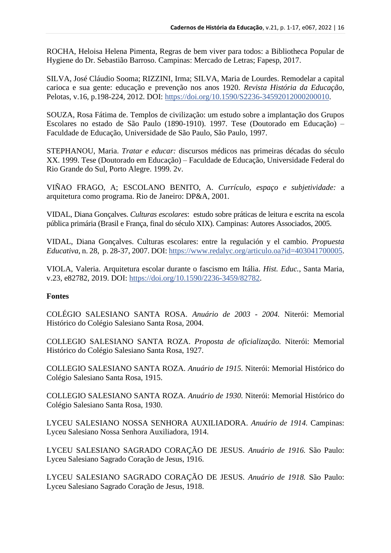ROCHA, Heloisa Helena Pimenta, Regras de bem viver para todos: a Bibliotheca Popular de Hygiene do Dr. Sebastião Barroso. Campinas: Mercado de Letras; Fapesp, 2017.

[SILVA,](http://lattes.cnpq.br/9289502247184812) José Cláudio Sooma; [RIZZINI,](http://lattes.cnpq.br/6035943662384263) Irma; SILVA, Maria de [Lourdes.](http://lattes.cnpq.br/8068521353320954) Remodelar a capital carioca e sua gente: educação e prevenção nos anos 1920. *Revista História da Educação*, Pelotas, v.16, p.198-224, 2012. DOI: [https://doi.org/10.1590/S2236-34592012000200010.](https://doi.org/10.1590/S2236-34592012000200010)

SOUZA, Rosa Fátima de. Templos de civilização: um estudo sobre a implantação dos Grupos Escolares no estado de São Paulo (1890-1910). 1997. Tese (Doutorado em Educação) – Faculdade de Educação, Universidade de São Paulo, São Paulo, 1997.

STEPHANOU, Maria. *Tratar e educar:* discursos médicos nas primeiras décadas do século XX. 1999. Tese (Doutorado em Educação) – Faculdade de Educação, Universidade Federal do Rio Grande do Sul, Porto Alegre. 1999. 2v.

VIÑAO FRAGO, A; ESCOLANO BENITO, A. *Currículo, espaço e subjetividade:* a arquitetura como programa. Rio de Janeiro: DP&A, 2001.

VIDAL, Diana Gonçalves. *Culturas escolares*: estudo sobre práticas de leitura e escrita na escola pública primária (Brasil e França, final do século XIX). Campinas: Autores Associados, 2005.

VIDAL, Diana Gonçalves. Culturas escolares: entre la regulación y el cambio. *Propuesta Educativa*, n. 28, p. 28-37, 2007. DOI: [https://www.redalyc.org/articulo.oa?id=403041700005.](https://www.redalyc.org/articulo.oa?id=403041700005)

VIOLA, Valeria. Arquitetura escolar durante o fascismo em Itália. *Hist. Educ.*, Santa Maria, v.23, e82782, 2019. DOI: [https://doi.org/10.1590/2236-3459/82782.](https://doi.org/10.1590/2236-3459/82782)

# **Fontes**

COLÉGIO SALESIANO SANTA ROSA. *Anuário de 2003 - 2004.* Niterói: Memorial Histórico do Colégio Salesiano Santa Rosa, 2004.

COLLEGIO SALESIANO SANTA ROZA. *Proposta de oficialização.* Niterói: Memorial Histórico do Colégio Salesiano Santa Rosa, 1927.

COLLEGIO SALESIANO SANTA ROZA. *Anuário de 1915.* Niterói: Memorial Histórico do Colégio Salesiano Santa Rosa, 1915.

COLLEGIO SALESIANO SANTA ROZA. *Anuário de 1930.* Niterói: Memorial Histórico do Colégio Salesiano Santa Rosa, 1930.

LYCEU SALESIANO NOSSA SENHORA AUXILIADORA. *Anuário de 1914.* Campinas: Lyceu Salesiano Nossa Senhora Auxiliadora, 1914.

LYCEU SALESIANO SAGRADO CORAÇÃO DE JESUS. *Anuário de 1916.* São Paulo: Lyceu Salesiano Sagrado Coração de Jesus, 1916.

LYCEU SALESIANO SAGRADO CORAÇÃO DE JESUS. *Anuário de 1918.* São Paulo: Lyceu Salesiano Sagrado Coração de Jesus, 1918.